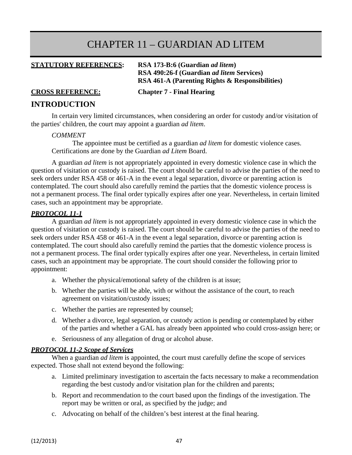# CHAPTER 11 – GUARDIAN AD LITEM

## **STATUTORY REFERENCES: RSA 173-B:6 (Guardian** *ad litem***)**

# **RSA 490:26-f (Guardian** *ad litem* **Services) RSA 461-A (Parenting Rights & Responsibilities)**

**CROSS REFERENCE: Chapter 7 - Final Hearing**

## **INTRODUCTION**

In certain very limited circumstances, when considering an order for custody and/or visitation of the parties' children, the court may appoint a guardian *ad litem*.

#### *COMMENT*

The appointee must be certified as a guardian *ad litem* for domestic violence cases. Certifications are done by the Guardian *ad Litem* Board.

A guardian *ad litem* is not appropriately appointed in every domestic violence case in which the question of visitation or custody is raised. The court should be careful to advise the parties of the need to seek orders under RSA 458 or 461-A in the event a legal separation, divorce or parenting action is contemplated. The court should also carefully remind the parties that the domestic violence process is not a permanent process. The final order typically expires after one year. Nevertheless, in certain limited cases, such an appointment may be appropriate.

### *PROTOCOL 11-1*

A guardian *ad litem* is not appropriately appointed in every domestic violence case in which the question of visitation or custody is raised. The court should be careful to advise the parties of the need to seek orders under RSA 458 or 461-A in the event a legal separation, divorce or parenting action is contemplated. The court should also carefully remind the parties that the domestic violence process is not a permanent process. The final order typically expires after one year. Nevertheless, in certain limited cases, such an appointment may be appropriate. The court should consider the following prior to appointment:

- a. Whether the physical/emotional safety of the children is at issue;
- b. Whether the parties will be able, with or without the assistance of the court, to reach agreement on visitation/custody issues;
- c. Whether the parties are represented by counsel;
- d. Whether a divorce, legal separation, or custody action is pending or contemplated by either of the parties and whether a GAL has already been appointed who could cross-assign here; or
- e. Seriousness of any allegation of drug or alcohol abuse.

#### *PROTOCOL 11-2 Scope of Services*

When a guardian *ad litem* is appointed, the court must carefully define the scope of services expected. Those shall not extend beyond the following:

- a. Limited preliminary investigation to ascertain the facts necessary to make a recommendation regarding the best custody and/or visitation plan for the children and parents;
- b. Report and recommendation to the court based upon the findings of the investigation. The report may be written or oral, as specified by the judge; and
- c. Advocating on behalf of the children's best interest at the final hearing.